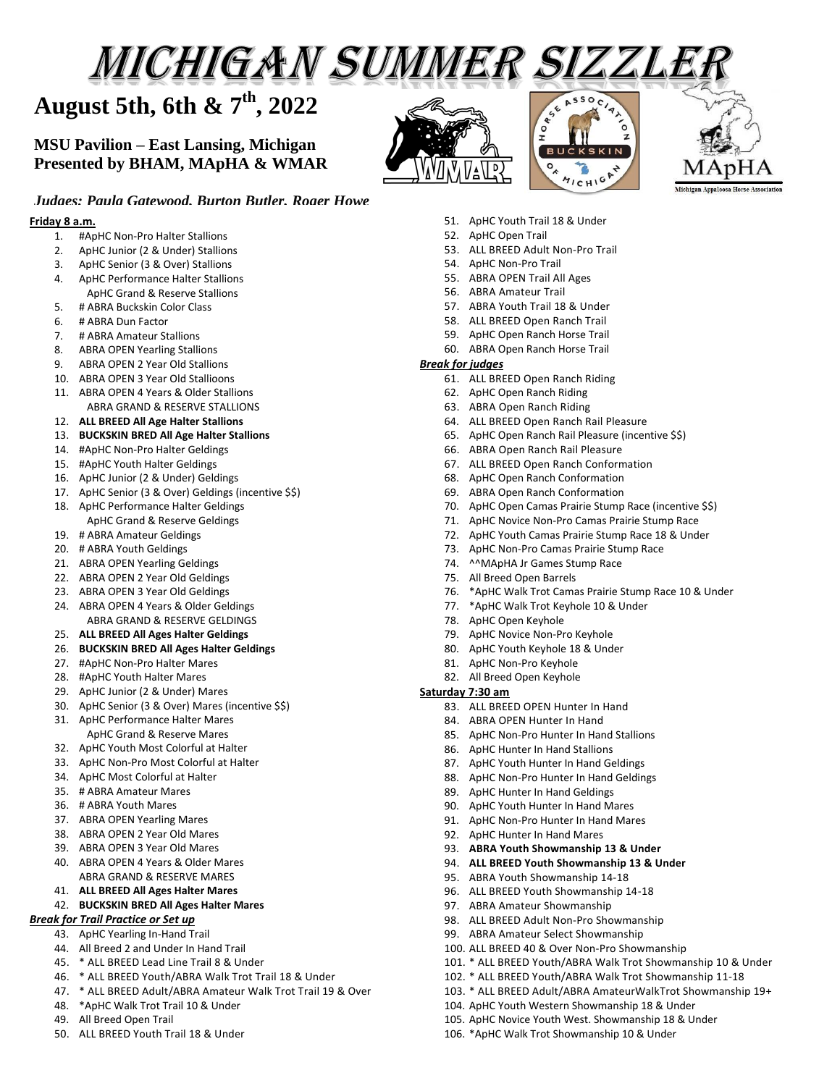# MICHIGAN SUMMER SIZZLEI

# **August 5th, 6th & 7th , 2022**

# **MSU Pavilion – East Lansing, Michigan Presented by BHAM, MApHA & WMAR**







# *Judges: Paula Gatewood, Burton Butler, Roger Howe*

#### **Friday 8 a.m.**

- 1. #ApHC Non-Pro Halter Stallions
- 2. ApHC Junior (2 & Under) Stallions
- 3. ApHC Senior (3 & Over) Stallions
- 4. ApHC Performance Halter Stallions ApHC Grand & Reserve Stallions
- 5. # ABRA Buckskin Color Class
- 6. # ABRA Dun Factor
- 7. # ABRA Amateur Stallions
- 8. ABRA OPEN Yearling Stallions
- 9. ABRA OPEN 2 Year Old Stallions
- 10. ABRA OPEN 3 Year Old Stallioons
- 11. ABRA OPEN 4 Years & Older Stallions ABRA GRAND & RESERVE STALLIONS
- 12. **ALL BREED All Age Halter Stallions**
- 13. **BUCKSKIN BRED All Age Halter Stallions**
- 14. #ApHC Non-Pro Halter Geldings
- 15. #ApHC Youth Halter Geldings
- 16. ApHC Junior (2 & Under) Geldings
- 17. ApHC Senior (3 & Over) Geldings (incentive \$\$)
- 18. ApHC Performance Halter Geldings ApHC Grand & Reserve Geldings
- 19. # ABRA Amateur Geldings
- 20. # ABRA Youth Geldings
- 21. ABRA OPEN Yearling Geldings
- 22. ABRA OPEN 2 Year Old Geldings
- 23. ABRA OPEN 3 Year Old Geldings
- 24. ABRA OPEN 4 Years & Older Geldings ABRA GRAND & RESERVE GELDINGS
- 25. **ALL BREED All Ages Halter Geldings**
- 26. **BUCKSKIN BRED All Ages Halter Geldings**
- 27. #ApHC Non-Pro Halter Mares
- 28. #ApHC Youth Halter Mares
- 29. ApHC Junior (2 & Under) Mares
- 30. ApHC Senior (3 & Over) Mares (incentive \$\$)
- 31. ApHC Performance Halter Mares ApHC Grand & Reserve Mares
- 32. ApHC Youth Most Colorful at Halter
- 33. ApHC Non-Pro Most Colorful at Halter
- 34. ApHC Most Colorful at Halter
- 35. # ABRA Amateur Mares
- 36. # ABRA Youth Mares
- 37. ABRA OPEN Yearling Mares
- 38. ABRA OPEN 2 Year Old Mares
- 39. ABRA OPEN 3 Year Old Mares
- 40. ABRA OPEN 4 Years & Older Mares ABRA GRAND & RESERVE MARES
- 41. **ALL BREED All Ages Halter Mares**

#### 42. **BUCKSKIN BRED All Ages Halter Mares**

#### *Break for Trail Practice or Set up*

- 43. ApHC Yearling In-Hand Trail
- 44. All Breed 2 and Under In Hand Trail
- 45. \* ALL BREED Lead Line Trail 8 & Under
- 46. \* ALL BREED Youth/ABRA Walk Trot Trail 18 & Under
- 47. \* ALL BREED Adult/ABRA Amateur Walk Trot Trail 19 & Over
- 48. \*ApHC Walk Trot Trail 10 & Under
- 49. All Breed Open Trail
- 50. ALL BREED Youth Trail 18 & Under
- 51. ApHC Youth Trail 18 & Under
- 52. ApHC Open Trail
- 53. ALL BREED Adult Non-Pro Trail
- 54. ApHC Non-Pro Trail
- 55. ABRA OPEN Trail All Ages
- 56. ABRA Amateur Trail
- 57. ABRA Youth Trail 18 & Under
- 58. ALL BREED Open Ranch Trail
- 59. ApHC Open Ranch Horse Trail 60. ABRA Open Ranch Horse Trail

# *Break for judges*

- 61. ALL BREED Open Ranch Riding
- 62. ApHC Open Ranch Riding
- 63. ABRA Open Ranch Riding
- 64. ALL BREED Open Ranch Rail Pleasure
- 65. ApHC Open Ranch Rail Pleasure (incentive \$\$)
- 66. ABRA Open Ranch Rail Pleasure
- 67. ALL BREED Open Ranch Conformation
- 68. ApHC Open Ranch Conformation
- 69. ABRA Open Ranch Conformation
- 70. ApHC Open Camas Prairie Stump Race (incentive \$\$)
- 71. ApHC Novice Non-Pro Camas Prairie Stump Race
- 72. ApHC Youth Camas Prairie Stump Race 18 & Under
- 73. ApHC Non-Pro Camas Prairie Stump Race
- 74. ^^MApHA Jr Games Stump Race
- 75. All Breed Open Barrels
- 76. \*ApHC Walk Trot Camas Prairie Stump Race 10 & Under
- 77. \*ApHC Walk Trot Keyhole 10 & Under
- 78. ApHC Open Keyhole
- 79. ApHC Novice Non-Pro Keyhole
- 80. ApHC Youth Keyhole 18 & Under
- 81. ApHC Non-Pro Keyhole
- 82. All Breed Open Keyhole

## **Saturday 7:30 am**

- 83. ALL BREED OPEN Hunter In Hand
- 84. ABRA OPEN Hunter In Hand
- 85. ApHC Non-Pro Hunter In Hand Stallions
- 86. ApHC Hunter In Hand Stallions
- 87. ApHC Youth Hunter In Hand Geldings
- 88. ApHC Non-Pro Hunter In Hand Geldings

93. **ABRA Youth Showmanship 13 & Under** 94. **ALL BREED Youth Showmanship 13 & Under**

98. ALL BREED Adult Non-Pro Showmanship 99. ABRA Amateur Select Showmanship 100. ALL BREED 40 & Over Non-Pro Showmanship

104. ApHC Youth Western Showmanship 18 & Under 105. ApHC Novice Youth West. Showmanship 18 & Under 106. \*ApHC Walk Trot Showmanship 10 & Under

101. \* ALL BREED Youth/ABRA Walk Trot Showmanship 10 & Under 102. \* ALL BREED Youth/ABRA Walk Trot Showmanship 11-18 103. \* ALL BREED Adult/ABRA AmateurWalkTrot Showmanship 19+

89. ApHC Hunter In Hand Geldings

92 AnHC Hunter In Hand Mares

90. ApHC Youth Hunter In Hand Mares 91. ApHC Non-Pro Hunter In Hand Mares

95. ABRA Youth Showmanship 14-18 96. ALL BREED Youth Showmanship 14-18 97. ABRA Amateur Showmanship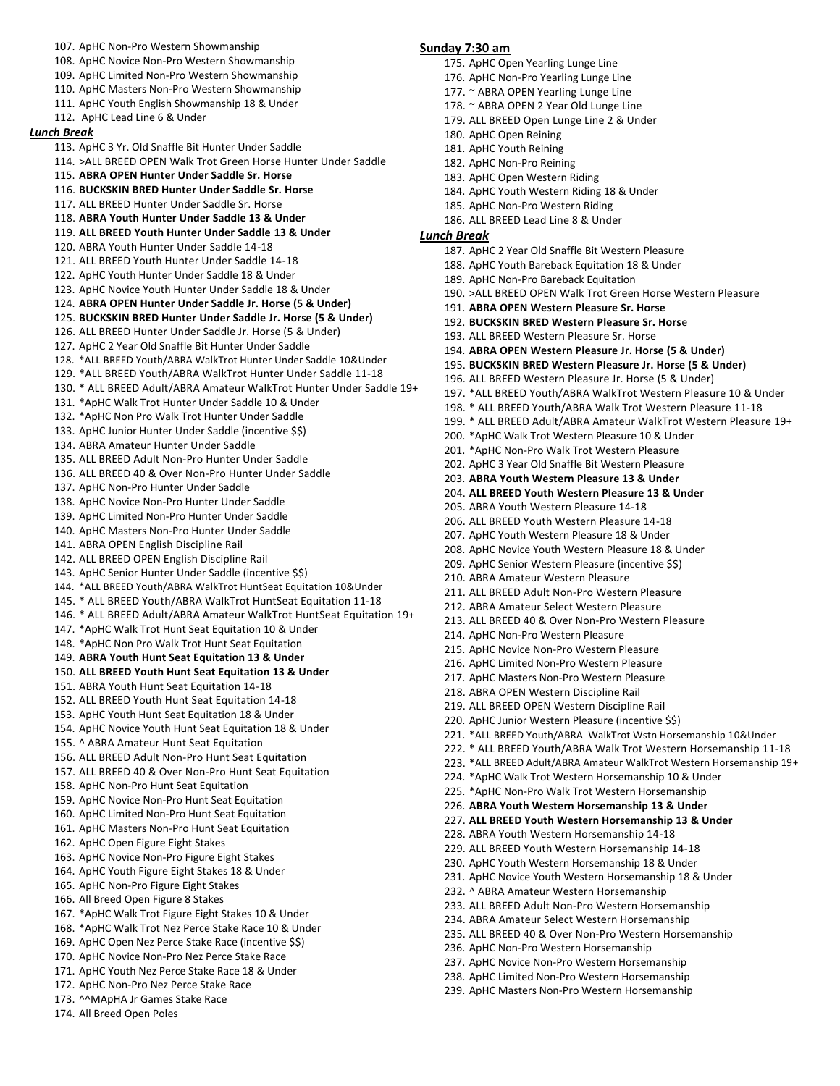107. ApHC Non-Pro Western Showmanship 108. ApHC Novice Non-Pro Western Showmanship 109. ApHC Limited Non-Pro Western Showmanship 110. ApHC Masters Non-Pro Western Showmanship 111. ApHC Youth English Showmanship 18 & Under 112. ApHC Lead Line 6 & Under *Lunch Break* 113. ApHC 3 Yr. Old Snaffle Bit Hunter Under Saddle 114. >ALL BREED OPEN Walk Trot Green Horse Hunter Under Saddle 115. **ABRA OPEN Hunter Under Saddle Sr. Horse** 116. **BUCKSKIN BRED Hunter Under Saddle Sr. Horse** 117. ALL BREED Hunter Under Saddle Sr. Horse 118. **ABRA Youth Hunter Under Saddle 13 & Under** 119. **ALL BREED Youth Hunter Under Saddle 13 & Under** 120. ABRA Youth Hunter Under Saddle 14-18 121. ALL BREED Youth Hunter Under Saddle 14-18 122. ApHC Youth Hunter Under Saddle 18 & Under 123. ApHC Novice Youth Hunter Under Saddle 18 & Under 124. **ABRA OPEN Hunter Under Saddle Jr. Horse (5 & Under)** 125. **BUCKSKIN BRED Hunter Under Saddle Jr. Horse (5 & Under)** 126. ALL BREED Hunter Under Saddle Jr. Horse (5 & Under) 127. ApHC 2 Year Old Snaffle Bit Hunter Under Saddle 128. \*ALL BREED Youth/ABRA WalkTrot Hunter Under Saddle 10&Under 129. \*ALL BREED Youth/ABRA WalkTrot Hunter Under Saddle 11-18 130. \* ALL BREED Adult/ABRA Amateur WalkTrot Hunter Under Saddle 19+ 131. \*ApHC Walk Trot Hunter Under Saddle 10 & Under 132. \*ApHC Non Pro Walk Trot Hunter Under Saddle 133. ApHC Junior Hunter Under Saddle (incentive \$\$) 134. ABRA Amateur Hunter Under Saddle 135. ALL BREED Adult Non-Pro Hunter Under Saddle 136. ALL BREED 40 & Over Non-Pro Hunter Under Saddle 137. ApHC Non-Pro Hunter Under Saddle 138. ApHC Novice Non-Pro Hunter Under Saddle 139. ApHC Limited Non-Pro Hunter Under Saddle 140. ApHC Masters Non-Pro Hunter Under Saddle 141. ABRA OPEN English Discipline Rail 142. ALL BREED OPEN English Discipline Rail 143. ApHC Senior Hunter Under Saddle (incentive \$\$) 144. \*ALL BREED Youth/ABRA WalkTrot HuntSeat Equitation 10&Under 145. \* ALL BREED Youth/ABRA WalkTrot HuntSeat Equitation 11-18 146. \* ALL BREED Adult/ABRA Amateur WalkTrot HuntSeat Equitation 19+ 147. \*ApHC Walk Trot Hunt Seat Equitation 10 & Under 148. \*ApHC Non Pro Walk Trot Hunt Seat Equitation 149. **ABRA Youth Hunt Seat Equitation 13 & Under** 150. **ALL BREED Youth Hunt Seat Equitation 13 & Under** 151. ABRA Youth Hunt Seat Equitation 14-18 152. ALL BREED Youth Hunt Seat Equitation 14-18 153. ApHC Youth Hunt Seat Equitation 18 & Under 154. ApHC Novice Youth Hunt Seat Equitation 18 & Under 155. ^ ABRA Amateur Hunt Seat Equitation 156. ALL BREED Adult Non-Pro Hunt Seat Equitation 157. ALL BREED 40 & Over Non-Pro Hunt Seat Equitation 158. ApHC Non-Pro Hunt Seat Equitation 159. ApHC Novice Non-Pro Hunt Seat Equitation 160. ApHC Limited Non-Pro Hunt Seat Equitation 161. ApHC Masters Non-Pro Hunt Seat Equitation 162. ApHC Open Figure Eight Stakes 163. ApHC Novice Non-Pro Figure Eight Stakes 164. ApHC Youth Figure Eight Stakes 18 & Under 165. ApHC Non-Pro Figure Eight Stakes 166. All Breed Open Figure 8 Stakes 167. \*ApHC Walk Trot Figure Eight Stakes 10 & Under 168. \*ApHC Walk Trot Nez Perce Stake Race 10 & Under 169. ApHC Open Nez Perce Stake Race (incentive \$\$) 170. ApHC Novice Non-Pro Nez Perce Stake Race 171. ApHC Youth Nez Perce Stake Race 18 & Under 172. ApHC Non-Pro Nez Perce Stake Race **Sunday 7:30 am**  175. ApHC Open Yearling Lunge Line 176. ApHC Non-Pro Yearling Lunge Line 177. ~ ABRA OPEN Yearling Lunge Line 178. ~ ABRA OPEN 2 Year Old Lunge Line 179. ALL BREED Open Lunge Line 2 & Under 180. ApHC Open Reining 181. ApHC Youth Reining 182. ApHC Non-Pro Reining 183. ApHC Open Western Riding 184. ApHC Youth Western Riding 18 & Under 185. ApHC Non-Pro Western Riding 186. ALL BREED Lead Line 8 & Under *Lunch Break* 187. ApHC 2 Year Old Snaffle Bit Western Pleasure 188. ApHC Youth Bareback Equitation 18 & Under 189. ApHC Non-Pro Bareback Equitation 190. >ALL BREED OPEN Walk Trot Green Horse Western Pleasure 191. **ABRA OPEN Western Pleasure Sr. Horse** 192. **BUCKSKIN BRED Western Pleasure Sr. Hors**e 193. ALL BREED Western Pleasure Sr. Horse 194. **ABRA OPEN Western Pleasure Jr. Horse (5 & Under)** 195. **BUCKSKIN BRED Western Pleasure Jr. Horse (5 & Under)** 196. ALL BREED Western Pleasure Jr. Horse (5 & Under) 197. \*ALL BREED Youth/ABRA WalkTrot Western Pleasure 10 & Under 198. \* ALL BREED Youth/ABRA Walk Trot Western Pleasure 11-18 199. \* ALL BREED Adult/ABRA Amateur WalkTrot Western Pleasure 19+ 200. \*ApHC Walk Trot Western Pleasure 10 & Under 201. \*ApHC Non-Pro Walk Trot Western Pleasure 202. ApHC 3 Year Old Snaffle Bit Western Pleasure 203. **ABRA Youth Western Pleasure 13 & Under** 204. **ALL BREED Youth Western Pleasure 13 & Under** 205. ABRA Youth Western Pleasure 14-18 206. ALL BREED Youth Western Pleasure 14-18 207. ApHC Youth Western Pleasure 18 & Under 208. ApHC Novice Youth Western Pleasure 18 & Under 209. ApHC Senior Western Pleasure (incentive \$\$) 210. ABRA Amateur Western Pleasure 211. ALL BREED Adult Non-Pro Western Pleasure 212. ABRA Amateur Select Western Pleasure 213. ALL BREED 40 & Over Non-Pro Western Pleasure 214. ApHC Non-Pro Western Pleasure 215. ApHC Novice Non-Pro Western Pleasure 216. ApHC Limited Non-Pro Western Pleasure 217. ApHC Masters Non-Pro Western Pleasure 218. ABRA OPEN Western Discipline Rail 219. ALL BREED OPEN Western Discipline Rail 220. ApHC Junior Western Pleasure (incentive \$\$) 221. \*ALL BREED Youth/ABRA WalkTrot Wstn Horsemanship 10&Under 222. \* ALL BREED Youth/ABRA Walk Trot Western Horsemanship 11-18 223. \*ALL BREED Adult/ABRA Amateur WalkTrot Western Horsemanship 19+ 224. \*ApHC Walk Trot Western Horsemanship 10 & Under 225. \*ApHC Non-Pro Walk Trot Western Horsemanship 226. **ABRA Youth Western Horsemanship 13 & Under** 227. **ALL BREED Youth Western Horsemanship 13 & Under**  228. ABRA Youth Western Horsemanship 14-18 229. ALL BREED Youth Western Horsemanship 14-18 230. ApHC Youth Western Horsemanship 18 & Under 231. ApHC Novice Youth Western Horsemanship 18 & Under 232. ^ ABRA Amateur Western Horsemanship 233. ALL BREED Adult Non-Pro Western Horsemanship 234. ABRA Amateur Select Western Horsemanship 235. ALL BREED 40 & Over Non-Pro Western Horsemanship 236. ApHC Non-Pro Western Horsemanship 237. ApHC Novice Non-Pro Western Horsemanship 238. ApHC Limited Non-Pro Western Horsemanship 239. ApHC Masters Non-Pro Western Horsemanship

173. ^^MApHA Jr Games Stake Race

174. All Breed Open Poles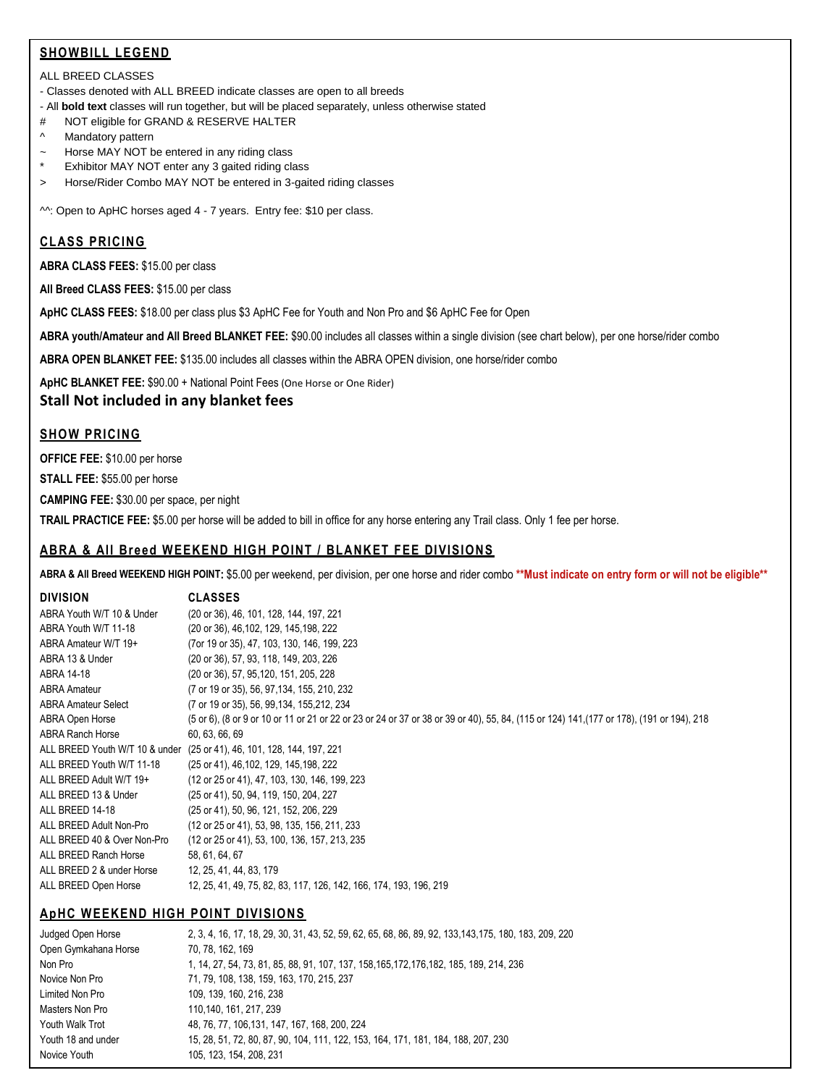# **SHOWBILL LEGEND**

#### ALL BREED CLASSES

- Classes denoted with ALL BREED indicate classes are open to all breeds

- All **bold text** classes will run together, but will be placed separately, unless otherwise stated
- # NOT eligible for GRAND & RESERVE HALTER
- ^ Mandatory pattern
- ~ Horse MAY NOT be entered in any riding class
- \* Exhibitor MAY NOT enter any 3 gaited riding class
- > Horse/Rider Combo MAY NOT be entered in 3-gaited riding classes

^^: Open to ApHC horses aged 4 - 7 years. Entry fee: \$10 per class.

# **CLASS PRICING**

**ABRA CLASS FEES:** \$15.00 per class

**All Breed CLASS FEES:** \$15.00 per class

**ApHC CLASS FEES:** \$18.00 per class plus \$3 ApHC Fee for Youth and Non Pro and \$6 ApHC Fee for Open

**ABRA youth/Amateur and All Breed BLANKET FEE:** \$90.00 includes all classes within a single division (see chart below), per one horse/rider combo

**ABRA OPEN BLANKET FEE:** \$135.00 includes all classes within the ABRA OPEN division, one horse/rider combo

**ApHC BLANKET FEE:** \$90.00 + National Point Fees (One Horse or One Rider)

**Stall Not included in any blanket fees**

## **SHOW PRICING**

**OFFICE FEE:** \$10.00 per horse

**STALL FEE:** \$55.00 per horse

**CAMPING FEE:** \$30.00 per space, per night

**TRAIL PRACTICE FEE:** \$5.00 per horse will be added to bill in office for any horse entering any Trail class. Only 1 fee per horse.

# **ABRA & All Breed WEEKEND HIGH POINT / BLANKET FEE DIVISIONS**

**ABRA & All Breed WEEKEND HIGH POINT:** \$5.00 per weekend, per division, per one horse and rider combo **\*\*Must indicate on entry form or will not be eligible\*\***

| <b>DIVISION</b>             | <b>CLASSES</b>                                                                                                                           |
|-----------------------------|------------------------------------------------------------------------------------------------------------------------------------------|
| ABRA Youth W/T 10 & Under   | (20 or 36), 46, 101, 128, 144, 197, 221                                                                                                  |
| ABRA Youth W/T 11-18        | (20 or 36), 46, 102, 129, 145, 198, 222                                                                                                  |
| ABRA Amateur W/T 19+        | (7or 19 or 35), 47, 103, 130, 146, 199, 223                                                                                              |
| ABRA 13 & Under             | (20 or 36), 57, 93, 118, 149, 203, 226                                                                                                   |
| ABRA 14-18                  | (20 or 36), 57, 95, 120, 151, 205, 228                                                                                                   |
| ABRA Amateur                | (7 or 19 or 35), 56, 97, 134, 155, 210, 232                                                                                              |
| <b>ABRA Amateur Select</b>  | (7 or 19 or 35), 56, 99, 134, 155, 212, 234                                                                                              |
| ABRA Open Horse             | (5 or 6), (8 or 9 or 10 or 11 or 21 or 22 or 23 or 24 or 37 or 38 or 39 or 40), 55, 84, (115 or 124) 141,(177 or 178), (191 or 194), 218 |
| ABRA Ranch Horse            | 60, 63, 66, 69                                                                                                                           |
|                             | ALL BREED Youth W/T 10 & under (25 or 41), 46, 101, 128, 144, 197, 221                                                                   |
| ALL BREED Youth W/T 11-18   | (25 or 41), 46, 102, 129, 145, 198, 222                                                                                                  |
| ALL BREED Adult W/T 19+     | (12 or 25 or 41), 47, 103, 130, 146, 199, 223                                                                                            |
| ALL BREED 13 & Under        | (25 or 41), 50, 94, 119, 150, 204, 227                                                                                                   |
| ALL BREED 14-18             | (25 or 41), 50, 96, 121, 152, 206, 229                                                                                                   |
| ALL BREED Adult Non-Pro     | (12 or 25 or 41), 53, 98, 135, 156, 211, 233                                                                                             |
| ALL BREED 40 & Over Non-Pro | (12 or 25 or 41), 53, 100, 136, 157, 213, 235                                                                                            |
| ALL BREED Ranch Horse       | 58, 61, 64, 67                                                                                                                           |
| ALL BREED 2 & under Horse   | 12, 25, 41, 44, 83, 179                                                                                                                  |
| ALL BREED Open Horse        | 12, 25, 41, 49, 75, 82, 83, 117, 126, 142, 166, 174, 193, 196, 219                                                                       |

# **ApHC WEEKEND HIGH POINT DIVISIONS**

| Judged Open Horse    | 2, 3, 4, 16, 17, 18, 29, 30, 31, 43, 52, 59, 62, 65, 68, 86, 89, 92, 133, 143, 175, 180, 183, 209, 220 |  |  |  |  |
|----------------------|--------------------------------------------------------------------------------------------------------|--|--|--|--|
| Open Gymkahana Horse | 70, 78, 162, 169                                                                                       |  |  |  |  |
| Non Pro              | 1, 14, 27, 54, 73, 81, 85, 88, 91, 107, 137, 158, 165, 172, 176, 182, 185, 189, 214, 236               |  |  |  |  |
| Novice Non Pro       | 71, 79, 108, 138, 159, 163, 170, 215, 237                                                              |  |  |  |  |
| Limited Non Pro      | 109, 139, 160, 216, 238                                                                                |  |  |  |  |
| Masters Non Pro      | 110.140.161.217.239                                                                                    |  |  |  |  |
| Youth Walk Trot      | 48, 76, 77, 106, 131, 147, 167, 168, 200, 224                                                          |  |  |  |  |
| Youth 18 and under   | 15, 28, 51, 72, 80, 87, 90, 104, 111, 122, 153, 164, 171, 181, 184, 188, 207, 230                      |  |  |  |  |
| Novice Youth         | 105. 123. 154. 208. 231                                                                                |  |  |  |  |